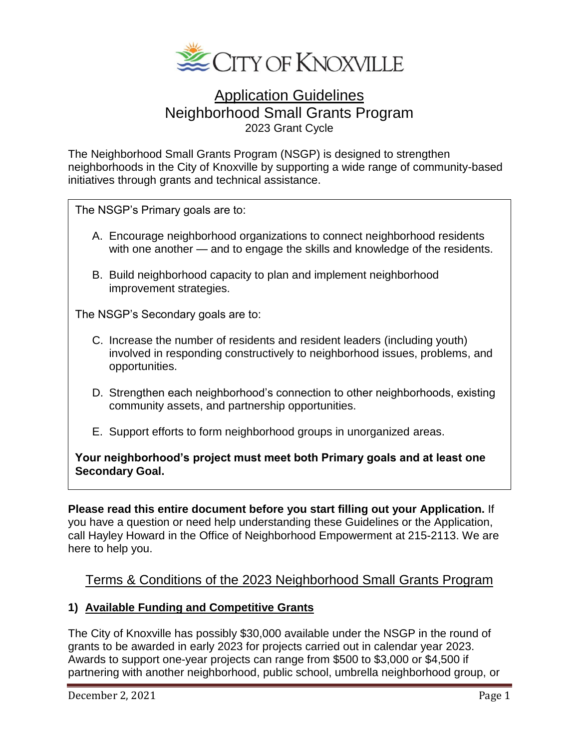

# Application Guidelines Neighborhood Small Grants Program 2023 Grant Cycle

The Neighborhood Small Grants Program (NSGP) is designed to strengthen neighborhoods in the City of Knoxville by supporting a wide range of community-based initiatives through grants and technical assistance.

The NSGP's Primary goals are to:

- A. Encourage neighborhood organizations to connect neighborhood residents with one another — and to engage the skills and knowledge of the residents.
- B. Build neighborhood capacity to plan and implement neighborhood improvement strategies.

The NSGP's Secondary goals are to:

- C. Increase the number of residents and resident leaders (including youth) involved in responding constructively to neighborhood issues, problems, and opportunities.
- D. Strengthen each neighborhood's connection to other neighborhoods, existing community assets, and partnership opportunities.
- E. Support efforts to form neighborhood groups in unorganized areas.

**Your neighborhood's project must meet both Primary goals and at least one Secondary Goal.**

**Please read this entire document before you start filling out your Application.** If you have a question or need help understanding these Guidelines or the Application, call Hayley Howard in the Office of Neighborhood Empowerment at 215-2113. We are here to help you.

# Terms & Conditions of the 2023 Neighborhood Small Grants Program

#### **1) Available Funding and Competitive Grants**

The City of Knoxville has possibly \$30,000 available under the NSGP in the round of grants to be awarded in early 2023 for projects carried out in calendar year 2023. Awards to support one-year projects can range from \$500 to \$3,000 or \$4,500 if partnering with another neighborhood, public school, umbrella neighborhood group, or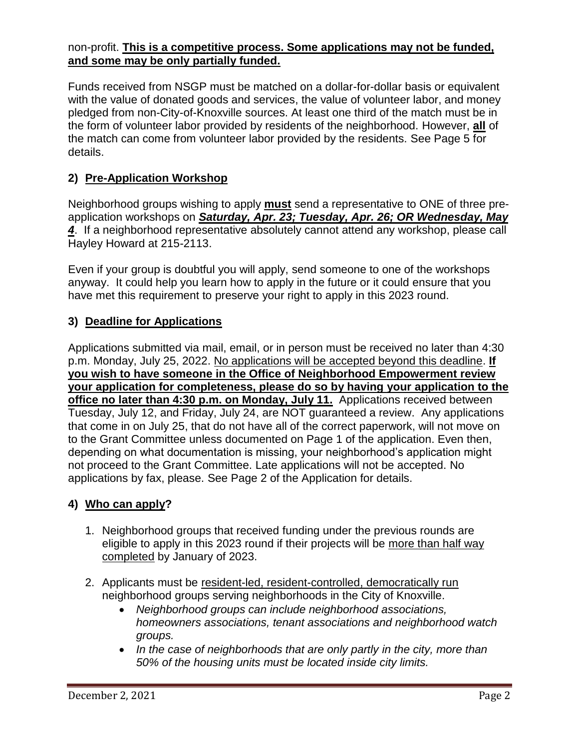#### non-profit. **This is a competitive process. Some applications may not be funded, and some may be only partially funded.**

Funds received from NSGP must be matched on a dollar-for-dollar basis or equivalent with the value of donated goods and services, the value of volunteer labor, and money pledged from non-City-of-Knoxville sources. At least one third of the match must be in the form of volunteer labor provided by residents of the neighborhood. However, **all** of the match can come from volunteer labor provided by the residents. See Page 5 for details.

## **2) Pre-Application Workshop**

Neighborhood groups wishing to apply **must** send a representative to ONE of three preapplication workshops on *Saturday, Apr. 23; Tuesday, Apr. 26; OR Wednesday, May 4*. If a neighborhood representative absolutely cannot attend any workshop, please call Hayley Howard at 215-2113.

Even if your group is doubtful you will apply, send someone to one of the workshops anyway. It could help you learn how to apply in the future or it could ensure that you have met this requirement to preserve your right to apply in this 2023 round.

## **3) Deadline for Applications**

Applications submitted via mail, email, or in person must be received no later than 4:30 p.m. Monday, July 25, 2022. No applications will be accepted beyond this deadline. **If you wish to have someone in the Office of Neighborhood Empowerment review your application for completeness, please do so by having your application to the office no later than 4:30 p.m. on Monday, July 11.** Applications received between Tuesday, July 12, and Friday, July 24, are NOT guaranteed a review. Any applications that come in on July 25, that do not have all of the correct paperwork, will not move on to the Grant Committee unless documented on Page 1 of the application. Even then, depending on what documentation is missing, your neighborhood's application might not proceed to the Grant Committee. Late applications will not be accepted. No applications by fax, please. See Page 2 of the Application for details.

## **4) Who can apply?**

- 1. Neighborhood groups that received funding under the previous rounds are eligible to apply in this 2023 round if their projects will be more than half way completed by January of 2023.
- 2. Applicants must be resident-led, resident-controlled, democratically run neighborhood groups serving neighborhoods in the City of Knoxville.
	- *Neighborhood groups can include neighborhood associations, homeowners associations, tenant associations and neighborhood watch groups.*
	- In the case of neighborhoods that are only partly in the city, more than *50% of the housing units must be located inside city limits.*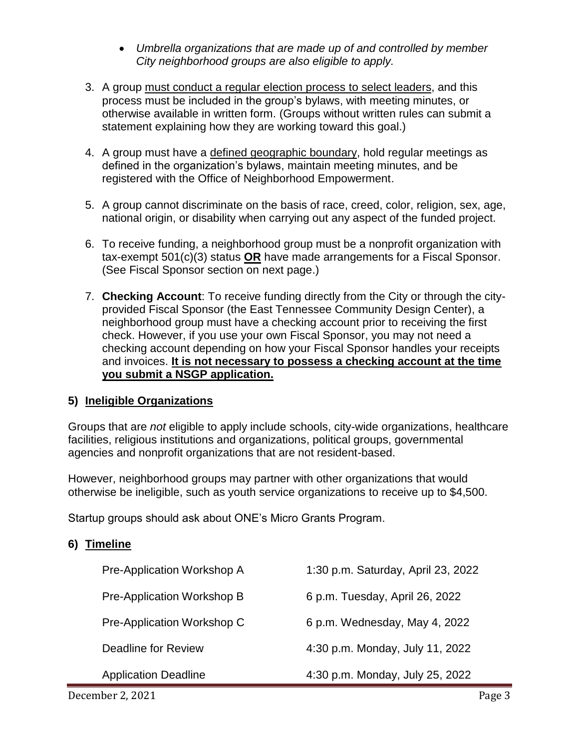- *Umbrella organizations that are made up of and controlled by member City neighborhood groups are also eligible to apply.*
- 3. A group must conduct a regular election process to select leaders, and this process must be included in the group's bylaws, with meeting minutes, or otherwise available in written form. (Groups without written rules can submit a statement explaining how they are working toward this goal.)
- 4. A group must have a defined geographic boundary, hold regular meetings as defined in the organization's bylaws, maintain meeting minutes, and be registered with the Office of Neighborhood Empowerment.
- 5. A group cannot discriminate on the basis of race, creed, color, religion, sex, age, national origin, or disability when carrying out any aspect of the funded project.
- 6. To receive funding, a neighborhood group must be a nonprofit organization with tax-exempt 501(c)(3) status **OR** have made arrangements for a Fiscal Sponsor. (See Fiscal Sponsor section on next page.)
- 7. **Checking Account**: To receive funding directly from the City or through the cityprovided Fiscal Sponsor (the East Tennessee Community Design Center), a neighborhood group must have a checking account prior to receiving the first check. However, if you use your own Fiscal Sponsor, you may not need a checking account depending on how your Fiscal Sponsor handles your receipts and invoices. **It is not necessary to possess a checking account at the time you submit a NSGP application.**

## **5) Ineligible Organizations**

Groups that are *not* eligible to apply include schools, city-wide organizations, healthcare facilities, religious institutions and organizations, political groups, governmental agencies and nonprofit organizations that are not resident-based.

However, neighborhood groups may partner with other organizations that would otherwise be ineligible, such as youth service organizations to receive up to \$4,500.

Startup groups should ask about ONE's Micro Grants Program.

## **6) Timeline**

| Pre-Application Workshop A  | 1:30 p.m. Saturday, April 23, 2022 |
|-----------------------------|------------------------------------|
| Pre-Application Workshop B  | 6 p.m. Tuesday, April 26, 2022     |
| Pre-Application Workshop C  | 6 p.m. Wednesday, May 4, 2022      |
| Deadline for Review         | 4:30 p.m. Monday, July 11, 2022    |
| <b>Application Deadline</b> | 4:30 p.m. Monday, July 25, 2022    |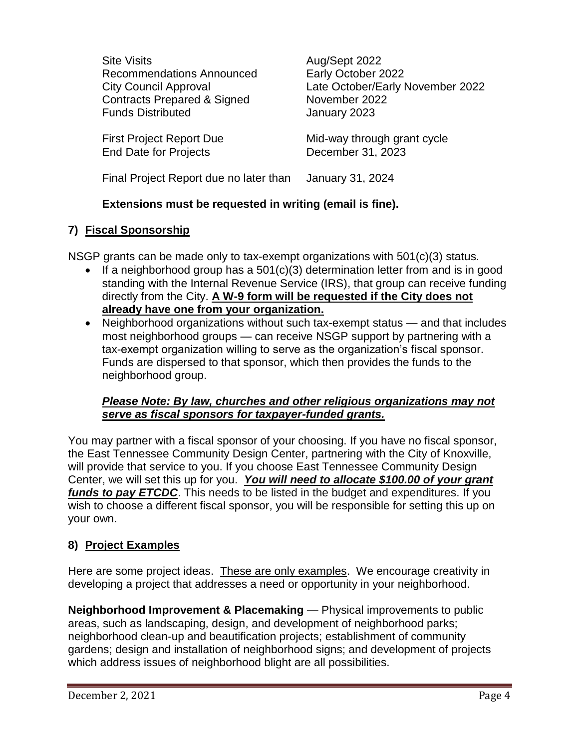Site Visits **Aug/Sept 2022** Recommendations Announced<br>
Early October 2022 Contracts Prepared & Signed November 2022 Funds Distributed January 2023

End Date for Projects December 31, 2023

City Council Approval Late October/Early November 2022

First Project Report Due Mid-way through grant cycle

Final Project Report due no later than January 31, 2024

## **Extensions must be requested in writing (email is fine).**

## **7) Fiscal Sponsorship**

NSGP grants can be made only to tax-exempt organizations with 501(c)(3) status.

- If a neighborhood group has a 501(c)(3) determination letter from and is in good standing with the Internal Revenue Service (IRS), that group can receive funding directly from the City. **A W-9 form will be requested if the City does not already have one from your organization.**
- Neighborhood organizations without such tax-exempt status and that includes most neighborhood groups — can receive NSGP support by partnering with a tax-exempt organization willing to serve as the organization's fiscal sponsor. Funds are dispersed to that sponsor, which then provides the funds to the neighborhood group.

## *Please Note: By law, churches and other religious organizations may not serve as fiscal sponsors for taxpayer-funded grants.*

You may partner with a fiscal sponsor of your choosing. If you have no fiscal sponsor, the East Tennessee Community Design Center, partnering with the City of Knoxville, will provide that service to you. If you choose East Tennessee Community Design Center, we will set this up for you. *You will need to allocate \$100.00 of your grant funds to pay ETCDC*. This needs to be listed in the budget and expenditures. If you wish to choose a different fiscal sponsor, you will be responsible for setting this up on your own.

## **8) Project Examples**

Here are some project ideas. These are only examples. We encourage creativity in developing a project that addresses a need or opportunity in your neighborhood.

**Neighborhood Improvement & Placemaking** — Physical improvements to public areas, such as landscaping, design, and development of neighborhood parks; neighborhood clean-up and beautification projects; establishment of community gardens; design and installation of neighborhood signs; and development of projects which address issues of neighborhood blight are all possibilities.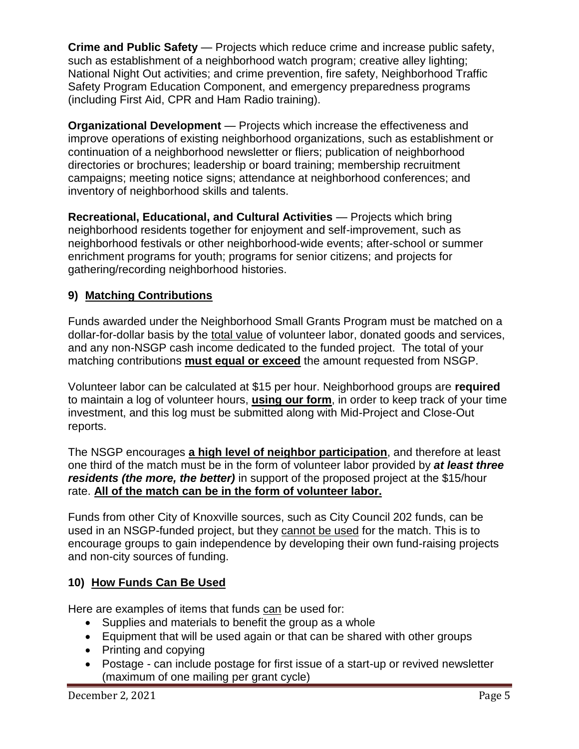**Crime and Public Safety** — Projects which reduce crime and increase public safety, such as establishment of a neighborhood watch program; creative alley lighting; National Night Out activities; and crime prevention, fire safety, Neighborhood Traffic Safety Program Education Component, and emergency preparedness programs (including First Aid, CPR and Ham Radio training).

**Organizational Development** — Projects which increase the effectiveness and improve operations of existing neighborhood organizations, such as establishment or continuation of a neighborhood newsletter or fliers; publication of neighborhood directories or brochures; leadership or board training; membership recruitment campaigns; meeting notice signs; attendance at neighborhood conferences; and inventory of neighborhood skills and talents.

**Recreational, Educational, and Cultural Activities** — Projects which bring neighborhood residents together for enjoyment and self-improvement, such as neighborhood festivals or other neighborhood-wide events; after-school or summer enrichment programs for youth; programs for senior citizens; and projects for gathering/recording neighborhood histories.

# **9) Matching Contributions**

Funds awarded under the Neighborhood Small Grants Program must be matched on a dollar-for-dollar basis by the total value of volunteer labor, donated goods and services, and any non-NSGP cash income dedicated to the funded project. The total of your matching contributions **must equal or exceed** the amount requested from NSGP.

Volunteer labor can be calculated at \$15 per hour. Neighborhood groups are **required** to maintain a log of volunteer hours, **using our form**, in order to keep track of your time investment, and this log must be submitted along with Mid-Project and Close-Out reports.

The NSGP encourages **a high level of neighbor participation**, and therefore at least one third of the match must be in the form of volunteer labor provided by *at least three residents (the more, the better)* in support of the proposed project at the \$15/hour rate. **All of the match can be in the form of volunteer labor.**

Funds from other City of Knoxville sources, such as City Council 202 funds, can be used in an NSGP-funded project, but they cannot be used for the match. This is to encourage groups to gain independence by developing their own fund-raising projects and non-city sources of funding.

## **10) How Funds Can Be Used**

Here are examples of items that funds can be used for:

- Supplies and materials to benefit the group as a whole
- Equipment that will be used again or that can be shared with other groups
- Printing and copying
- Postage can include postage for first issue of a start-up or revived newsletter (maximum of one mailing per grant cycle)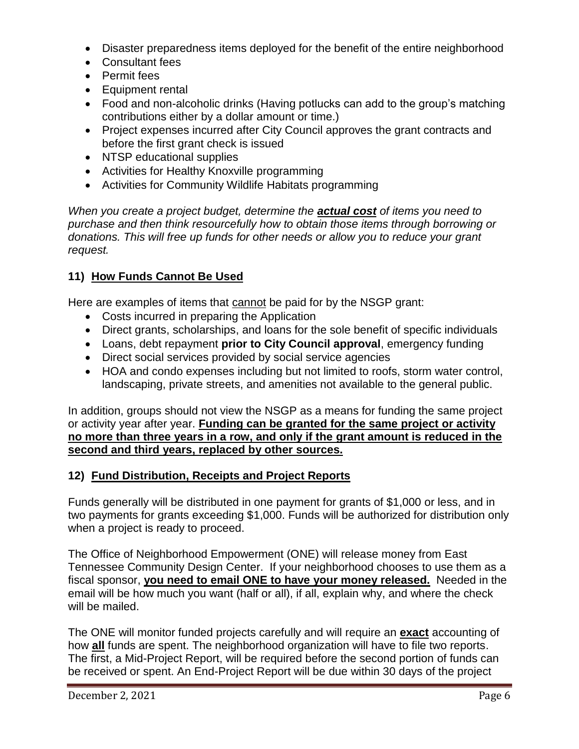- Disaster preparedness items deployed for the benefit of the entire neighborhood
- Consultant fees
- Permit fees
- Equipment rental
- Food and non-alcoholic drinks (Having potlucks can add to the group's matching contributions either by a dollar amount or time.)
- Project expenses incurred after City Council approves the grant contracts and before the first grant check is issued
- NTSP educational supplies
- Activities for Healthy Knoxville programming
- Activities for Community Wildlife Habitats programming

*When you create a project budget, determine the actual cost of items you need to purchase and then think resourcefully how to obtain those items through borrowing or donations. This will free up funds for other needs or allow you to reduce your grant request.*

## **11) How Funds Cannot Be Used**

Here are examples of items that cannot be paid for by the NSGP grant:

- Costs incurred in preparing the Application
- Direct grants, scholarships, and loans for the sole benefit of specific individuals
- Loans, debt repayment **prior to City Council approval**, emergency funding
- Direct social services provided by social service agencies
- HOA and condo expenses including but not limited to roofs, storm water control, landscaping, private streets, and amenities not available to the general public.

In addition, groups should not view the NSGP as a means for funding the same project or activity year after year. **Funding can be granted for the same project or activity no more than three years in a row, and only if the grant amount is reduced in the second and third years, replaced by other sources.** 

## **12) Fund Distribution, Receipts and Project Reports**

Funds generally will be distributed in one payment for grants of \$1,000 or less, and in two payments for grants exceeding \$1,000. Funds will be authorized for distribution only when a project is ready to proceed.

The Office of Neighborhood Empowerment (ONE) will release money from East Tennessee Community Design Center. If your neighborhood chooses to use them as a fiscal sponsor, **you need to email ONE to have your money released.** Needed in the email will be how much you want (half or all), if all, explain why, and where the check will be mailed.

The ONE will monitor funded projects carefully and will require an **exact** accounting of how **all** funds are spent. The neighborhood organization will have to file two reports. The first, a Mid-Project Report, will be required before the second portion of funds can be received or spent. An End-Project Report will be due within 30 days of the project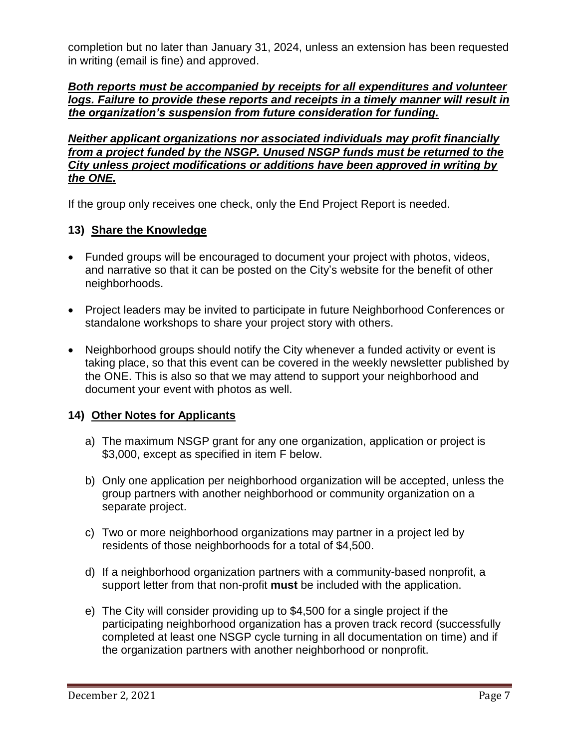completion but no later than January 31, 2024, unless an extension has been requested in writing (email is fine) and approved.

*Both reports must be accompanied by receipts for all expenditures and volunteer logs. Failure to provide these reports and receipts in a timely manner will result in the organization's suspension from future consideration for funding.* 

*Neither applicant organizations nor associated individuals may profit financially from a project funded by the NSGP. Unused NSGP funds must be returned to the City unless project modifications or additions have been approved in writing by the ONE.*

If the group only receives one check, only the End Project Report is needed.

#### **13) Share the Knowledge**

- Funded groups will be encouraged to document your project with photos, videos, and narrative so that it can be posted on the City's website for the benefit of other neighborhoods.
- Project leaders may be invited to participate in future Neighborhood Conferences or standalone workshops to share your project story with others.
- Neighborhood groups should notify the City whenever a funded activity or event is taking place, so that this event can be covered in the weekly newsletter published by the ONE. This is also so that we may attend to support your neighborhood and document your event with photos as well.

#### **14) Other Notes for Applicants**

- a) The maximum NSGP grant for any one organization, application or project is \$3,000, except as specified in item F below.
- b) Only one application per neighborhood organization will be accepted, unless the group partners with another neighborhood or community organization on a separate project.
- c) Two or more neighborhood organizations may partner in a project led by residents of those neighborhoods for a total of \$4,500.
- d) If a neighborhood organization partners with a community-based nonprofit, a support letter from that non-profit **must** be included with the application.
- e) The City will consider providing up to \$4,500 for a single project if the participating neighborhood organization has a proven track record (successfully completed at least one NSGP cycle turning in all documentation on time) and if the organization partners with another neighborhood or nonprofit.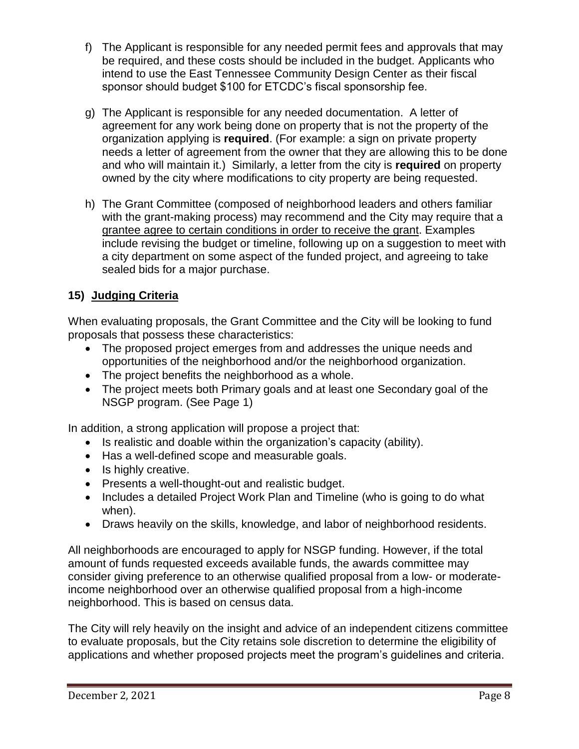- f) The Applicant is responsible for any needed permit fees and approvals that may be required, and these costs should be included in the budget. Applicants who intend to use the East Tennessee Community Design Center as their fiscal sponsor should budget \$100 for ETCDC's fiscal sponsorship fee.
- g) The Applicant is responsible for any needed documentation. A letter of agreement for any work being done on property that is not the property of the organization applying is **required**. (For example: a sign on private property needs a letter of agreement from the owner that they are allowing this to be done and who will maintain it.) Similarly, a letter from the city is **required** on property owned by the city where modifications to city property are being requested.
- h) The Grant Committee (composed of neighborhood leaders and others familiar with the grant-making process) may recommend and the City may require that a grantee agree to certain conditions in order to receive the grant. Examples include revising the budget or timeline, following up on a suggestion to meet with a city department on some aspect of the funded project, and agreeing to take sealed bids for a major purchase.

## **15) Judging Criteria**

When evaluating proposals, the Grant Committee and the City will be looking to fund proposals that possess these characteristics:

- The proposed project emerges from and addresses the unique needs and opportunities of the neighborhood and/or the neighborhood organization.
- The project benefits the neighborhood as a whole.
- The project meets both Primary goals and at least one Secondary goal of the NSGP program. (See Page 1)

In addition, a strong application will propose a project that:

- Is realistic and doable within the organization's capacity (ability).
- Has a well-defined scope and measurable goals.
- Is highly creative.
- Presents a well-thought-out and realistic budget.
- Includes a detailed Project Work Plan and Timeline (who is going to do what when).
- Draws heavily on the skills, knowledge, and labor of neighborhood residents.

All neighborhoods are encouraged to apply for NSGP funding. However, if the total amount of funds requested exceeds available funds, the awards committee may consider giving preference to an otherwise qualified proposal from a low- or moderateincome neighborhood over an otherwise qualified proposal from a high-income neighborhood. This is based on census data.

The City will rely heavily on the insight and advice of an independent citizens committee to evaluate proposals, but the City retains sole discretion to determine the eligibility of applications and whether proposed projects meet the program's guidelines and criteria.